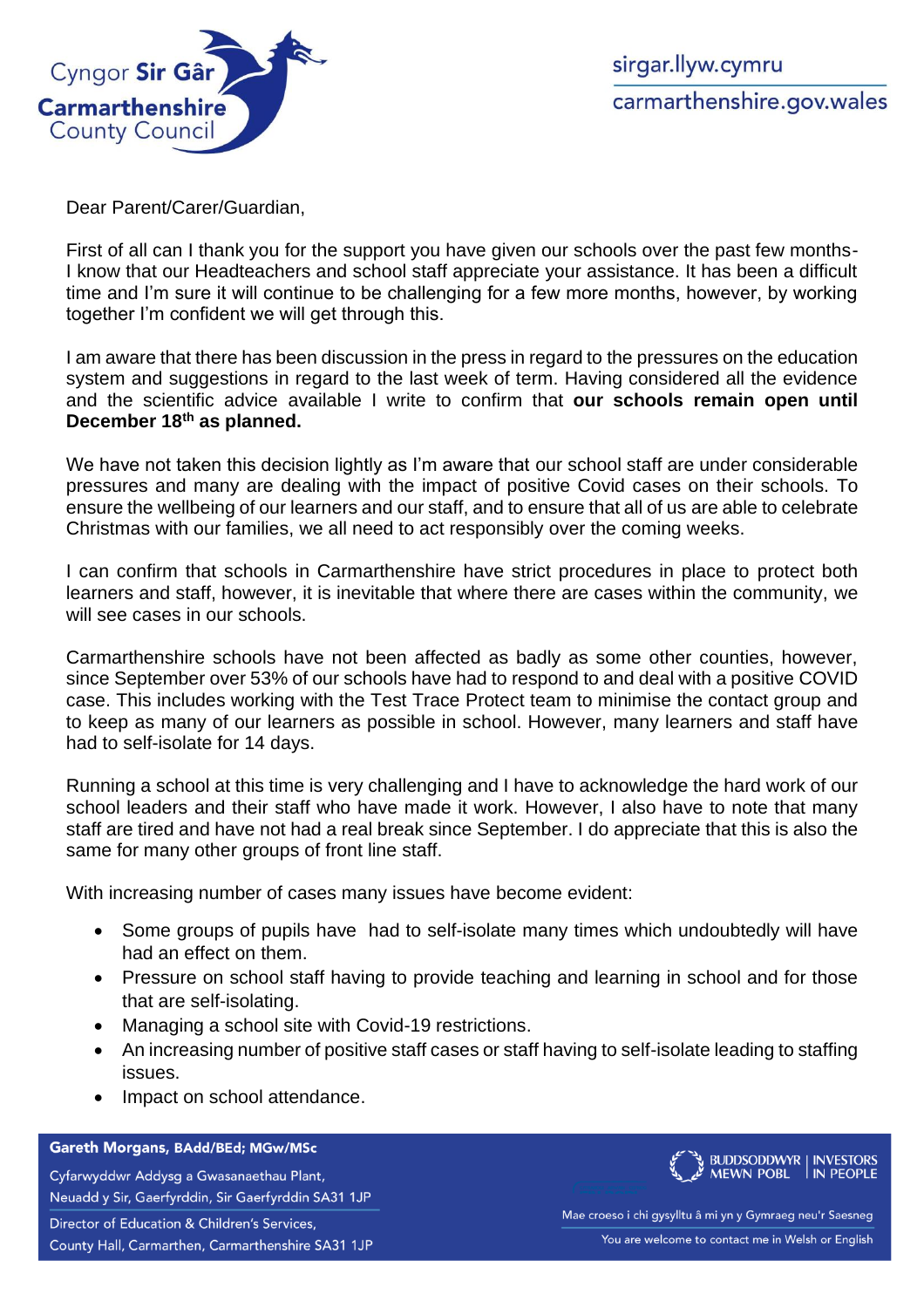

sirgar.llyw.cymru carmarthenshire.gov.wales

Dear Parent/Carer/Guardian,

First of all can I thank you for the support you have given our schools over the past few months-I know that our Headteachers and school staff appreciate your assistance. It has been a difficult time and I'm sure it will continue to be challenging for a few more months, however, by working together I'm confident we will get through this.

I am aware that there has been discussion in the press in regard to the pressures on the education system and suggestions in regard to the last week of term. Having considered all the evidence and the scientific advice available I write to confirm that **our schools remain open until December 18th as planned.**

We have not taken this decision lightly as I'm aware that our school staff are under considerable pressures and many are dealing with the impact of positive Covid cases on their schools. To ensure the wellbeing of our learners and our staff, and to ensure that all of us are able to celebrate Christmas with our families, we all need to act responsibly over the coming weeks.

I can confirm that schools in Carmarthenshire have strict procedures in place to protect both learners and staff, however, it is inevitable that where there are cases within the community, we will see cases in our schools.

Carmarthenshire schools have not been affected as badly as some other counties, however, since September over 53% of our schools have had to respond to and deal with a positive COVID case. This includes working with the Test Trace Protect team to minimise the contact group and to keep as many of our learners as possible in school. However, many learners and staff have had to self-isolate for 14 days.

Running a school at this time is very challenging and I have to acknowledge the hard work of our school leaders and their staff who have made it work. However, I also have to note that many staff are tired and have not had a real break since September. I do appreciate that this is also the same for many other groups of front line staff.

With increasing number of cases many issues have become evident:

- Some groups of pupils have had to self-isolate many times which undoubtedly will have had an effect on them.
- Pressure on school staff having to provide teaching and learning in school and for those that are self-isolating.
- Managing a school site with Covid-19 restrictions.
- An increasing number of positive staff cases or staff having to self-isolate leading to staffing issues.
- Impact on school attendance.

## Gareth Morgans, BAdd/BEd; MGw/MSc

Cyfarwyddwr Addysg a Gwasanaethau Plant, Neuadd y Sir, Gaerfyrddin, Sir Gaerfyrddin SA31 1JP Director of Education & Children's Services, County Hall, Carmarthen, Carmarthenshire SA31 1JP



Mae croeso i chi gysylltu â mi yn y Gymraeg neu'r Saesneg You are welcome to contact me in Welsh or English